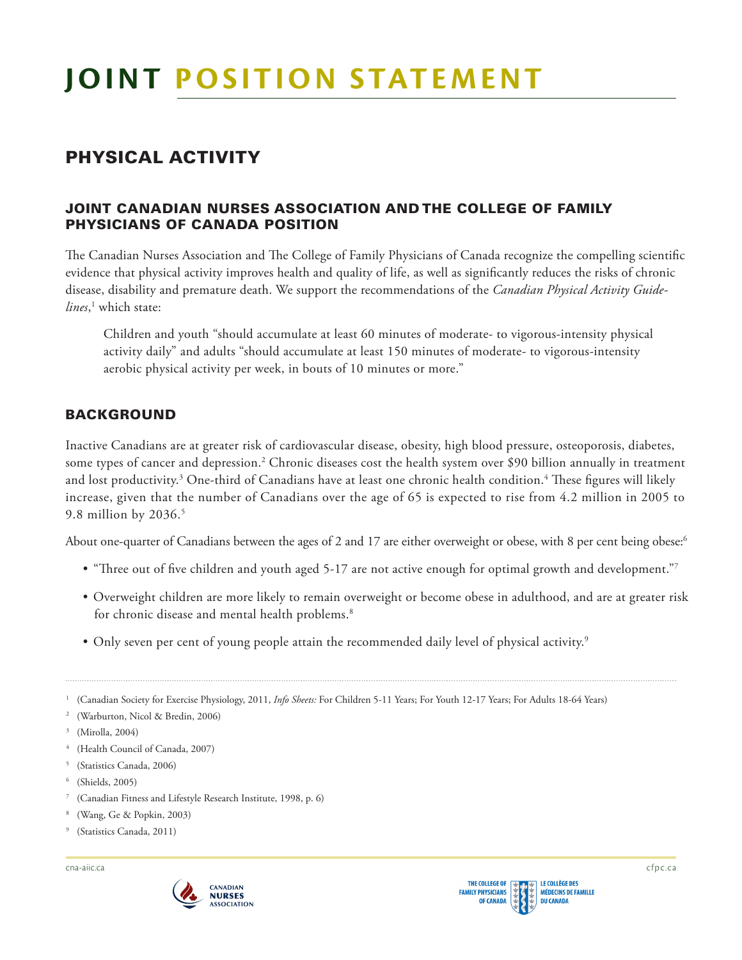# PHYSICAL ACTIVITY

## JOINT CANADIAN NURSES ASSOCIATION AND THE COLLEGE OF FAMILY PHYSICIANS OF CANADA POSITION

The Canadian Nurses Association and The College of Family Physicians of Canada recognize the compelling scientific evidence that physical activity improves health and quality of life, as well as signifcantly reduces the risks of chronic disease, disability and premature death. We support the recommendations of the *Canadian Physical Activity Guide-lines*, 1 which state:

 Children and youth "should accumulate at least 60 minutes of moderate- to vigorous-intensity physical activity daily" and adults "should accumulate at least 150 minutes of moderate- to vigorous-intensity aerobic physical activity per week, in bouts of 10 minutes or more."

## BACKGROUND

 Inactive Canadians are at greater risk of cardiovascular disease, obesity, high blood pressure, osteoporosis, diabetes, some types of cancer and depression.<sup>2</sup> Chronic diseases cost the health system over \$90 billion annually in treatment and lost productivity. $^3$  One-third of Canadians have at least one chronic health condition. $^4$  These figures will likely increase, given that the number of Canadians over the age of 65 is expected to rise from 4.2 million in 2005 to 9.8 million by 2036.5

About one-quarter of Canadians between the ages of 2 and 17 are either overweight or obese, with 8 per cent being obese: $^6$ 

- $\bullet$  "Three out of five children and youth aged 5-17 are not active enough for optimal growth and development."7
- • Overweight children are more likely to remain overweight or become obese in adulthood, and are at greater risk for chronic disease and mental health problems.<sup>8</sup>
- Only seven per cent of young people attain the recommended daily level of physical activity.<sup>9</sup>

<sup>1</sup> (Canadian Society for Exercise Physiology, 2011, *Info Sheets:* For Children 5-11 Years; For Youth 12-17 Years; For Adults 18-64 Years)

- 2 (Warburton, Nicol & Bredin, 2006)
- 3 (Mirolla, 2004)
- 4 (Health Council of Canada, 2007)
- 5 (Statistics Canada, 2006)
- 6 (Shields, 2005)
- 7 (Canadian Fitness and Lifestyle Research Institute, 1998, p. 6)
- 8 (Wang, Ge & Popkin, 2003)
- 9 (Statistics Canada, 2011)

[cna-aiic.ca](http://cna-aiic.ca) cfpc .ca

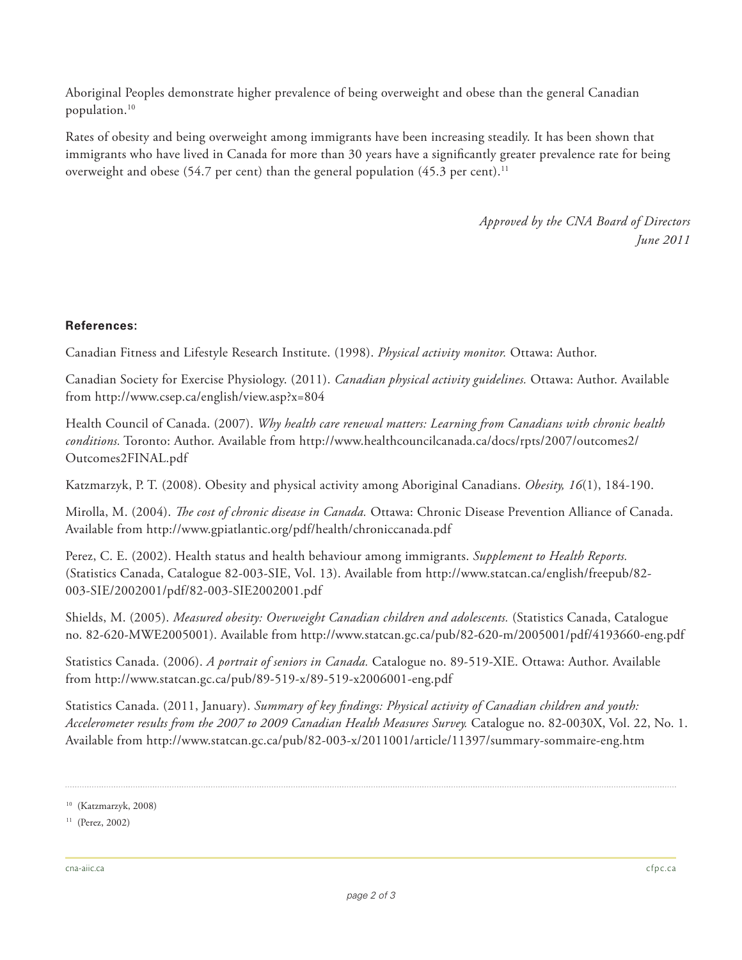Aboriginal Peoples demonstrate higher prevalence of being overweight and obese than the general Canadian [population.10](https://population.10) 

 Rates of obesity and being overweight among immigrants have been increasing steadily. It has been shown that immigrants who have lived in Canada for more than 30 years have a signifcantly greater prevalence rate for being overweight and obese (54.7 per cent) than the general population (45.3 per cent). $^{11}$ 

> *Approved by the CNA Board of Directors June 2011*

### **References:**

Canadian Fitness and Lifestyle Research Institute. (1998). *Physical activity monitor.* Ottawa: Author.

 Canadian Society for Exercise Physiology. (2011). *Canadian physical activity guidelines.* Ottawa: Author. Available from<http://www.csep.ca/english/view.asp?x=804>

 Health Council of Canada. (2007). *Why health care renewal matters: Learning from Canadians with chronic health conditions.* Toronto: Author. Available from [http://www.healthcouncilcanada.ca/docs/rpts/2007/outcomes2/](http://www.healthcouncilcanada.ca/docs/rpts/2007/outcomes2/Outcomes2FINAL.pdf)  [Outcomes2FINAL.pdf](http://www.healthcouncilcanada.ca/docs/rpts/2007/outcomes2/Outcomes2FINAL.pdf) 

Katzmarzyk, P. T. (2008). Obesity and physical activity among Aboriginal Canadians. *Obesity, 16*(1), 184-190.

Mirolla, M. (2004). *The cost of chronic disease in Canada.* Ottawa: Chronic Disease Prevention Alliance of Canada. Available from <http://www.gpiatlantic.org/pdf/health/chroniccanada.pdf>

 Perez, C. E. (2002). Health status and health behaviour among immigrants. *Supplement to Health Reports.*  (Statistics Canada, Catalogue 82-003-SIE, Vol. 13). Available from [http://www.statcan.ca/english/freepub/82-](http://www.statcan.ca/english/freepub/82-003-SIE/2002001/pdf/82-003-SIE2002001.pdf) [003-SIE/2002001/pdf/82-003-SIE2002001.pdf](http://www.statcan.ca/english/freepub/82-003-SIE/2002001/pdf/82-003-SIE2002001.pdf)

 Shields, M. (2005). *Measured obesity: Overweight Canadian children and adolescents.* (Statistics Canada, Catalogue no. 82-620-MWE2005001). Available from <http://www.statcan.gc.ca/pub/82-620-m/2005001/pdf/4193660-eng.pdf>

 Statistics Canada. (2006). *A portrait of seniors in Canada.* Catalogue no. 89-519-XIE. Ottawa: Author. Available from<http://www.statcan.gc.ca/pub/89-519-x/89-519-x2006001-eng.pdf>

 Statistics Canada. (2011, January). *Summary of key fndings: Physical activity of Canadian children and youth: Accelerometer results from the 2007 to 2009 Canadian Health Measures Survey.* Catalogue no. 82-0030X, Vol. 22, No. 1. Available from <http://www.statcan.gc.ca/pub/82-003-x/2011001/article/11397/summary-sommaire-eng.htm>

<sup>10 (</sup>Katzmarzyk, 2008)

<sup>11 (</sup>Perez, 2002)